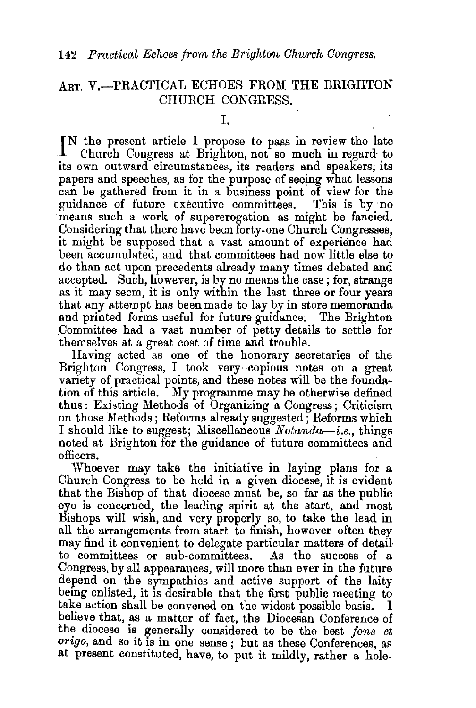## ART. V.-PRACTICAL ECHOES FROM THE BRIGHTON CHURCH CONGRESS.

I.

IN the present article I propose to pass in review the late<br>Church Congress at Brighton, not so much in regard to Church Congress at Brighton, not so much in regard· to its own outward circumstances, its readers and speakers, its papers and speeches, as for the purpose of seeing what lessons can be gathered from it in a business point of view for the guidance of future executive committees. This is by no means such a work of supererogation as might be fancied. Considering that there have been forty-one Church Congresses, it might be supposed that a vast amount of experience had been accumulated, and that committees had now little else to do than act upon precedents already many times debated and accepted. Such, however, is by no means the case; for, strange as it may seem, it is only within the last three or four years that any attempt has been made to lay by in store memoranda and printed forms useful for future guidance. The Brighton Committee had a vast number of petty details to settle for themselves at a great cost of time and trouble.

Having acted as one of the honorary secretaries of the Brighton Congress, I took very· copious notes on a great variety of practical points, and these notes will be the foundation of this article. My programme may be otherwise defined thus: Existing Methods of Organizing a Congress; Criticism on those Methods; Reforms already suggested; Reforms which I should like to suggest; Miscellaneous *Notanda-i.e.,* things noted at Brighton for the guidance of future committees and officers.

Whoever may take the initiative in laying plans for a Church Congress to be held in a given diocese, it is evident that the Bishop of that diocese must be, so far as the public eye is concerned, the leading spirit at the start, and most Bishops will wish, and very properly so, to take the lead in all the arrangements from start to finish, however often they may find it convenient to delegate particular matters of detail· to committees or sub-committees. As the success of a Congress, by all appearances, will more than ever in the future depend on the sympathies and active support of the laity being enlisted, it is desirable that the first public meeting to take action shall be convened on the widest possible basis. I believe that, as a matter of fact, the Diocesan Conference of the diocese is generally considered to be the best *fons et origo,* and so it is in one sense ; but as these Conferences, as at present constituted, have, to put it mildly, rather a hole-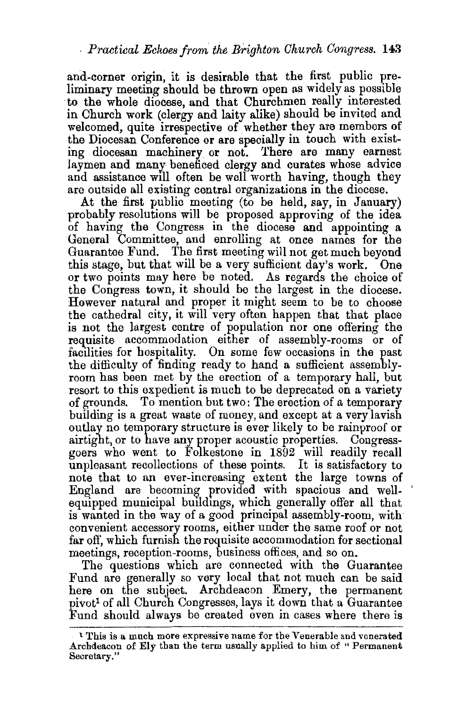and-corner origin, it is desirable that the first public preliminary meeting should be thrown open as widely as possible to the whole diocese, and that Churchmen really interested in Church work (clergy and laity alike) should be invited and welcomed, quite irrespective of whether they are members of the Diocesan Conference or are specially in touch with existing diocesan machinery or not. 'l'here are many earnest laymen and many beneficed clergy and curates whose advice and assistance will often be well worth having, though they are outside all existing central organizations in the diocese.

At the first public meeting (to be held, say, in January) probably resolutions will be proposed approving of the idea of having the Congress in the diocese and appointing a General Committee, and enrolling at once names for the Guarantee Fund. The first meeting will not get much beyond this stage, but that will be a very sufficient day's work. One or two points may here be noted. As regards the choice of the Congress town, it should be the largest in the diocese. However natural and proper it might seem to be to choose the cathedral city, it will very often happen that that place is not the largest centre of population nor one offering the requisite accommodation either of assembly-rooms or of facilities for hospitality. On some few occasions in the past the difficulty of finding ready to hand a sufficient assemblyroom has been met by the erection of a temporary hall, but resort to this expedient is much to be deprecated on a variety of grounds. To mention but two: The erection of a temporary building is a great waste of money, and except at a very lavish outlay no temporary structure is ever likely to be rainproof or airtight, or to have any proper acoustic properties. Congressgoers who went to Folkestone in 1892 will readily recall unpleasant recollections of these points. It is satisfactory to note that to an ever-increasing extent the large towns of England are becoming provided with spacious and wellequipped municipal buildings, which generally offer all that is wanted in the way of a good principal assembly-room, with convenient accessory rooms, either under the same roof or not far off, which furnish the requisite accommodation for sectional meetings, reception-rooms, business offices, and so on.

The questions which are connected with the Guarantee Fund are generally so very local that not much can be said here on the subject. Archdeacon Emery, the permanent pivot1 of all Church Congresses, lays it down that a Guarantee :Fund should always be created even in cases where there is

<sup>l</sup>'!'his is a much more expressive name for the Venerable and venerated Archdeacon of Ely than the term usually applied to him of " Permanent Secretary."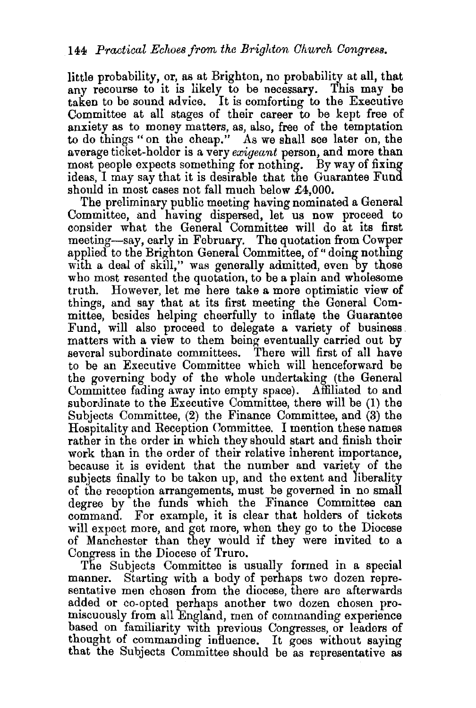little probability, or, as at Brighton, no probability at all, that any recourse to it is likely to be necessary. This may be taken to be sound advice. It is comforting to the Executive Committee at all stages of their career to be kept free of anxiety as to money matters, as, also, free of the temptation to do things "on the cheap." As we shall see later on, the average ticket-holder is a very *exigeant* person, and more than most people expects something for nothing. By way of fixing ideas, I may say that it is desirable that the Guarantee Fund should in most cases not fall much below £4,000.

The preliminary public meeting having nominated a General Committee, and having dispersed, let us now proceed to consider what the General Committee will do at its first meeting-say, early in February. The quotation from Cowper applied to the Brighton General Committee, of "doing nothing" with a deal of skill," was generally admitted, even by those who most resented the quotation, to be a plain and wholesome truth. However, let me here take a more optimistic view of things, and say that at its first meeting the General Committee, besides helping cheerfully to inflate the Guarantee matters with a view to them being eventually carried out by several subordinate committees. There will first of all have to be an Executive Committee which will henceforward be the governing body of the whole undertaking (the General Committee fading away into empty space). Affiliated to and subordinate to the Executive Committee, there will be (1) the Subjects Committee, (2) the Finance Committee, and (3) the Hospitality and Reception Committee. I mention these names rather in the order in which they should start and finish their work than in the order of their relative inherent importance, because it is evident that the number and variety of the subjects finally to be taken up, and the extent and liberality of the reception arrangements, must be governed in no small degree by the funds which the Finance Committee can command. For example, it is clear that holders of tickets will expect more, and get more, when they go to the Diocese of Manchester than they would if they were invited to a Congress in the Diocese of Truro.

The Subjects Committee is usually formed in a special manner. Starting with a body of perhaps two dozen representative men chosen from the diocese, there are afterwards added or co-opted perhaps another two dozen chosen promiscuously from all England, men of commanding experience based on familiarity with previous Congresses, or leaders of thought of commanding influence. It goes without saying that the Subjects Committee should be as representative as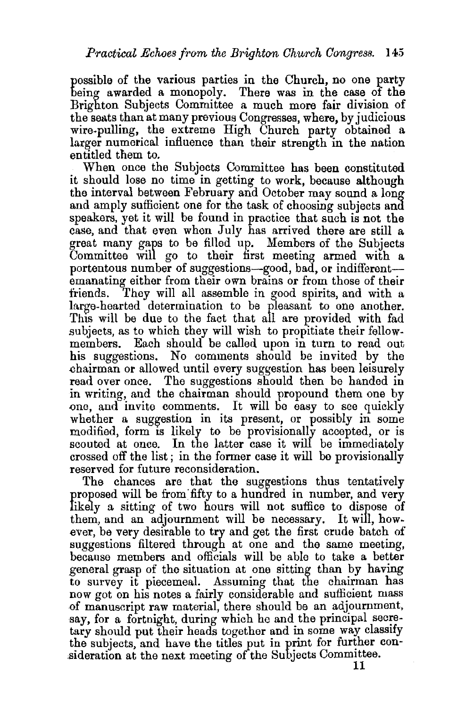possible of the various parties in the Church, no one party being awarded a monopoly. There was in the case of the Brighton Subjects Committee a much more fair division of the seats than at many previous Congresses, where, by judicious wire-pulling, the extreme High Church party obtained a larger numerical influence than their strength in the nation entitled them to.

When once the Subjects Committee has been constituted it should lose no time in getting to work, because although the interval between February and October may sound a long and amply sufficient one for the task of choosing subjects and speakers, yet it will be found in practice that such is not the case, and that even when July has arrived there are still a great many gaps to be filled up. Members of the Subjects Committee will go to their first meeting armed with a portentous number of suggestions-good, bad, or indifferentemanating either from their own brains or from those of their<br>friends. They will all assemble in good spirits and with a They will all assemble in good spirits, and with a large-hearted determination to be pieasant to one another. This will be due to the fact that all are provided with fad subjects, as to which they will wish to propitiate their fellowmembers. Each should be called upon in turn to read out his suggestions. No comments should be invited by the .chairman or allowed until every suggestion has been leisurely read over once. The suggestions should then be handed in in writing, and the chairman should propound them one by one, and invite comments. It will be easy to see quickly whether a suggestion in its present, or possibly in some modified, form is likely to be provisionally accepted, or is scouted at once. In the latter case it will be immediately crossed off the list ; in the former case it will be provisionally reserved for future reconsideration.

The chances are that the suggestions thus tentatively proposed will be from'fifty to a hundred in number, and very likely a sitting of two hours will not suffice to dispose of them, and an adjournment will be necessary. It will, how~ ever, be very desirable to try and get the first crude batch of suggestions filtered through at one and the same meeting, because members and officials will be able to take a better general grasp of the situation at one sitting than by having to survey it piecemeal. Assuming that the chairman has now got on his notes a fairly considerable and sufficient mass {)f manuscript raw material, there should be an adjournment, say, for a fortnight, during which he and the principal secretary should put their heads together and in some way classify the subjects, and have the titles put in print for further consideration at the next meeting of the Subjects Committee.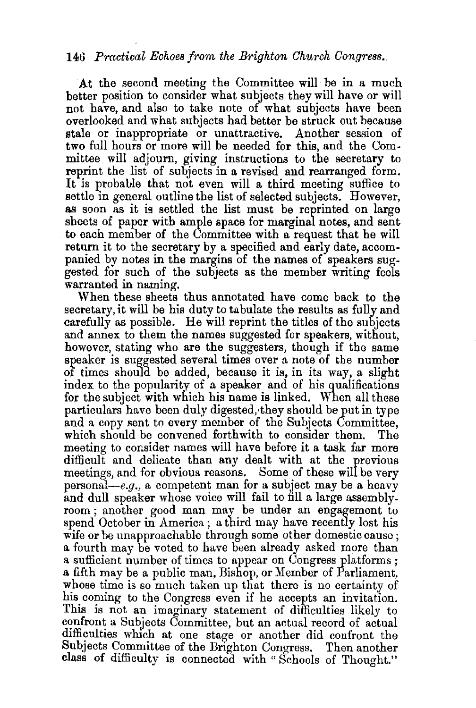## 146 *Practieat Echoes from the Brighton Church Congress.*

At the second meeting the Committee will be in a much better position to consider what subjects they will have or will not have, and also to take note of what subjects have been overlooked and what subjects had better be struck out because stale or inappropriate or unattractive. Another session of two full hours or more will be needed for this, and the Committee will adjourn, giving instructions to the secretary to reprint the list of subjects in a revised and rearranged form. It is probable that not even will a third meeting suffice to settle in general outline the list of selected subjects. However, as soon as it is settled the list must be reprinted on large sheets of paper with ample space for marginal notes, and sent to each member of the Committee with a. request that he will return it to the secretary by a specified and early date, accompanied by notes in the margins of the names of speakers suggested for such of the subjects as the member writing feels warranted in naming.

When these sheets thus annotated have come back to the secretary, it will be his duty to tabulate the results as fully and carefully as possible. He will reprint the titles of the subjects and annex to them the names suggested for speakers, without, however, stating who are the suggesters, though if the same speaker is suggested several times over a note of the number of times should be added, because it is, in its way, a slight index to the popularity of a speaker and of his qualifications for the subject with which his name is linked. When all these particulars have been duly digested,·they should be put in type and a copy sent to every member of the Subjects Committee, which should be convened forthwith to consider them. The meeting to consider names will have before it a task far more difficult and delicate than any dealt with at the yrevious meetings, and for obvious reasons. Some of these will be very personal—e.g., a competent man for a subject may be a heavy and dull speaker whose voice will fail to fill a large assemblyroom ; another good man may be under an engagement to spend October in America; a third may have recently lost his wife or be unapproachable through some other domestic cause; a fourth may be voted to have been already asked more than a sufficient number of times to appear on Congress platforms ; a fifth may be a public man, Bishop, or Member of Parliament, whose time is so much taken up that there is no certainty of his coming to the Congress even if he accepts an invitation. This is not an imaginary statement of difficulties likely to confront a Subjects Committee, but an actual record of actual difficulties which at one stage or another did confront the Subjects Committee of the Brighton Congress. Then another class of difficulty is connected with " Schools of Thought."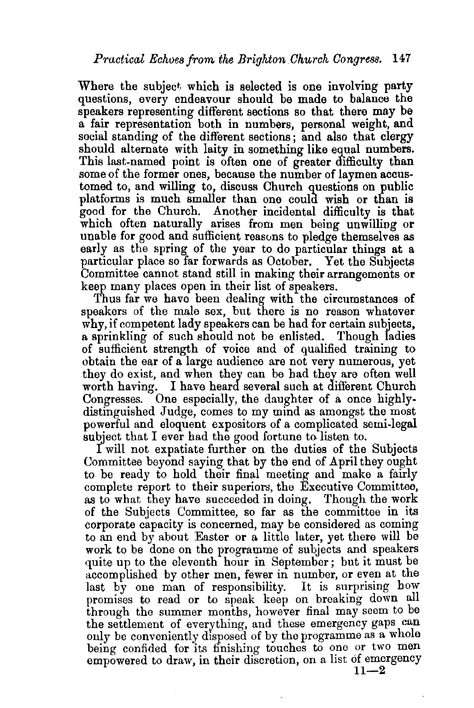Where the subject which is selected is one involving party questions, every endeavour should be made to balance the speakers representing different sections so that there may be a fair representation both in numbers, personal weight, and social standing of the different sections; and also that clergy should alternate with laity in something like equal numbers. This last-named point is often one of greater difficulty than some of the former ones, because the number of laymen accustomed to, and willing to, discuss Church questions on public platforms is much smaller than one could wish or than is good for the Church. Another incidental difficulty is that which often naturally arises from men being unwilling or unable for good and sufficient reasons to pledge themselves as early as the spring of the year to do particular things at a particular place so far forwards as October. Yet the Subjects Committee cannot stand still in making their arrangements or keep many places open in their list of speakers.

Thus far we have been dealing with the circumstances of speakers of the male sex, but there is no reason whatever why, if competent lady speakers can be had for certain subjects. a sprinkling of such should not be enlisted. Though ladies of sufficient strength of voice and of qualified training to obtain the ear of a large audience are not very numerous, yet they do exist, and when they can be had they are often well worth having. I have heard several such at different Church Congresses. One especially, the daughter of a once highlydistinguished Judge, comes to my mind as amongst the most powerful and eloquent expositors of a complicated semi-legal subject that I ever had the good fortune to listen to.

I will not expatiate further on the duties of the Subjects Committee beyond saying that by the end of April they ought to be ready to hold their final meeting and make a fairly complete report to their superiors, the Executive Committee, as to what they have succeeded in doing. Though the work of the Subjects Committee, so far as the committee in its corporate capacity is concerned, may be considered as coming to an end by about Easter or a little later, yet there will be work to be done on the programme of subjects and speakers quite up to the eleventh hour in September; but it must be accomplished by other men, fewer in number, or even at the last by one man of responsibility. It is surprising bow promises to read or to speak keep on breaking down all through the summer months, however final may seem to be the settlement of everything, and these emergency gaps can only be conveniently disposed of by the programme as a whole being confided for its finishing touches to one or two men empowered to draw, in their discretion, on a list of emergency  $11-2$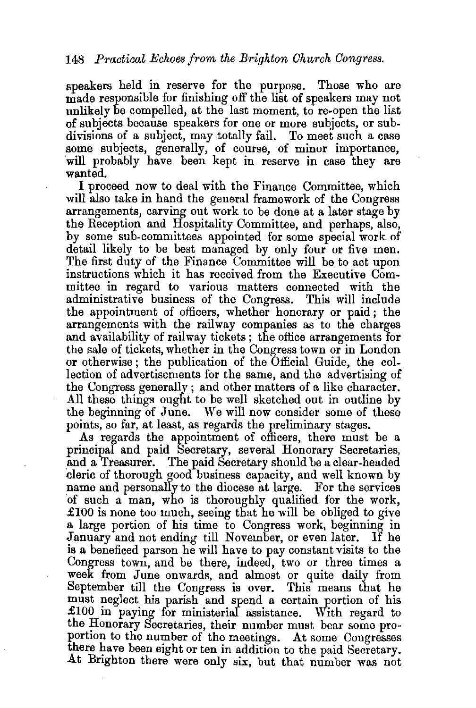speakers held in reserve for the purpose. Those who are made responsible for finishing off the list of speakers may not unlikely be compelled, at the last moment, to re-open the list of subjects because speakers for one or more subjects, or subdivisions of a subject, may totally fail. To meet such a case some subjects, generally, of course, of minor importance, 'will probably have been kept in reserve in case they are wanted.

I proceed now to deal with the Finance Committee, which will also take in hand the general framework of the Congress arrangements, carving out work to be done at a later stage by the Reception and Hospitality Committee, and perhaps, also, by some sub-committees appointed for some special work of detail likely to be best managed by only four or five men. The first duty of the Finance Committee will be to act upon instructions which it has received from the Executive Committee in regard to various matters connected with the administrative business of the Congress. This will include the appointment of officers, whether honorary or paid; the arrangements with the railway companies as to the charges and availability of railway tickets; the office arrangements for the sale of tickets, whether in the Congress town or in London or otherwise ; the publication of the Official Guide, the collection of advertisements for the same, and the advertising of the Congress generally; and other matters of a like character. All these things ought to be well sketched out in outline by the beginning of June. We will now consider some of these points, so far, at least, as regards the preliminary stages.

As regards the appointment of officers, there must be a principaf and paid Secretary, several Honorary Secretaries, and a Treasurer. The paid Secretary should be a clear-headed cleric of thorough good business capacity, and well known by name and personally to the diocese at large. For the services 'of such a man, who is thoroughly qualified for the work,  $\pounds100$  is none too much, seeing that he will be obliged to give a large portion of his time to Congress work, beginning in January and not ending till November, or even later. If he is a beneficed parson he will have to pay constant visits to the Congress town, and be there, indeed, two or three times a week from June onwards, and almost or quite daily from September till the Congress is over. This means that he must neglect his parish and spend a certain portion of his £100 in paying for ministerial assistance. With regard to the Honorary Secretaries, their number must bear some proportion to the number of the meetings. At some Congresses there have been eight or ten in addition to the paid Secretary. At Brighton there were only six, but that number was not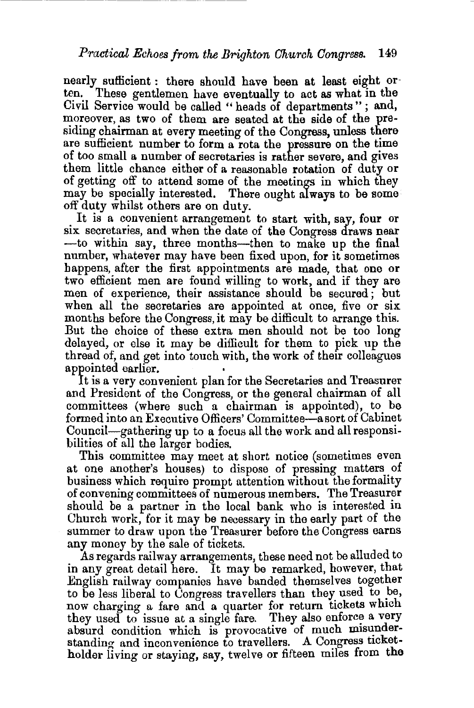nearly sufficient : there should have been at least eight orten. These gentlemen have eventually to act as what in the Civil Service would be called " heads of departments"; and, moreover, as two of them are seated at the side of the presiding chairman at every meeting of the Congress, unless there are sufficient number to form a rota the pressure on the time of too small a number of secretaries is rather severe, and gives them little chance either of a reasonable rotation of duty or of getting off to attend some of the meetings in which they may be specially interested. There ought always to be some off duty whilst others are on duty.

It is a convenient arrangement to start with, say, four or six secretaries, and when the date of the Congress draws near -to within say, three months--then to make up the final number, whatever may have been fixed upon, for it sometimes happens, after the first appointments are made, that one or two efficient men are found willing to work, and if they are men of experience, their assistance should be secured ; but when all the secretaries are appointed at once, five or six months before the Congress, it may be difficult to arrange this. But the choice of these extra men should not be too long delayed, or else it may be difficult for them to pick up the thread of, and get into touch with, the work of their colleagues appointed earlier.

It is a very convenient plan for the Secretaries and Treasurer and President of the Congress, or the general chairman of all committees (where such a chairman is appointed), to be formed into an Executive Officers' Committee-a sort of Cabinet Council-gathering up to a focus all the work and all responsibilities of all the larger bodies.

This committee may meet at short notice (sometimes even at one another's houses) to dispose of pressing matters of business which require prompt attention without the formality of convening committees of numerous members. The Treasurer should be a partner in the local bank who is interested in Church work, for it may be necessary in the early part of the summer to draw upon the Treasurer before the Congress earns any money by the sale of tickets.

As regards railway arrangements, these need not be alluded to in any great detail here. It may be remarked, however, that English railway companies have banded themselves together to be less liberal to Congress travellers than they used to be, now charging a fare and a quarter for return tickets which they used to issue at a single fare. They also enforce a very absurd condition which is provocative of much misunderstanding and inconvenience to travellers. A Congress ticketholder living or staying, say, twelve or fifteen miles from the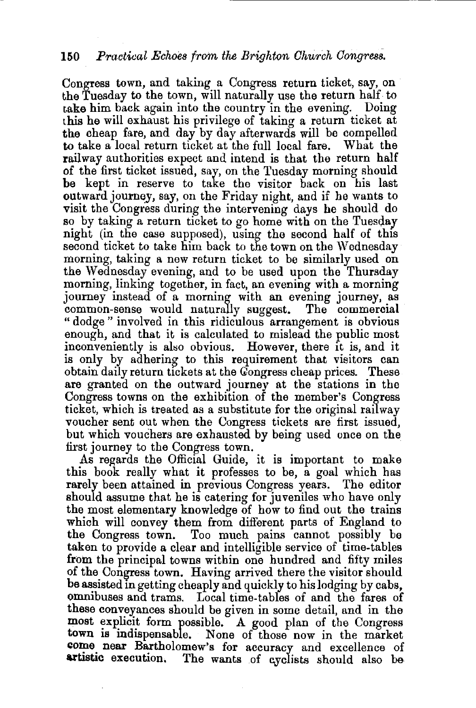## 150 *Practical Echoes from the Brighton Church Congress.*

Congress town, and taking a Congress return ticket, say, on the Tuesday to the town, will naturally use the return half to cake him back again into the country in the evening. Doing this he will exhaust his privilege of taking a return ticket at the cheap fare, and day by day afterwards will be compelled to take a local return ticket at the full local fare. What the railway authorities expect and intend is that the return half of the first ticket issued, say, on the Tuesday morning should be kept in reserve to take the visitor back on his last outward journey, say, on the Friday night, and if he wants to visit the Congress during the intervening days he should do so by taking a return ticket to go home with on the Tuesday night (in the case supposed), using the second half of this second ticket to take him back to the town on the Wednesday morning, taking a new return ticket to be similarly used on the Wednesday evening, and to be used upon the Thursday morning, linking together, in fact, an evening with a morning journey instead of a morning with an evening journey, as common-sense would naturally suggest. The commercial common-sense would naturally suggest. " dodge " involved in this ridiculous arrangement is obvious enough, and that it is calculated to mislead the public most inconveniently is also obvious. However, there it is, and it is only by adhering to this requirement that visitors can obtain daily return tickets at the Qongress cheap prices. These are granted on the outward journey at the stations in the Congress towns on the exhibition of the member's Congress ticket, which is treated as a substitute for the original railway voucher sent out when the Congress tickets are first issued, but which vouchers are exhausted by being used once on the first journey to the Congress town.

AS regards the Official Guide, it is important to make this book really what it professes to be, a goal which has rarely been attained in previous Congress years. The editor should assume that he is catering for juveniles who have only the most elementary knowledge of how to find out the trains which will convey them from different parts of England to the Congress town. Too much pains cannot possibly be taken to provide a clear and intelligible service of time-tables from the principal towns within one hundred and fifty miles of the Congress town. Having arrived there the visitor should be assisted in getting cheaply and quickly to his lodging by cabs, omnibuses and trams. Local time-tables of and the fares of these conveyances should be given in some detail, and in the most explicit form possible. A good plan of the Congress town is indispensable. None of those now in the market come near Bartholomew's for accuracy and excellence of artistic execution. The wants of cyclists should also be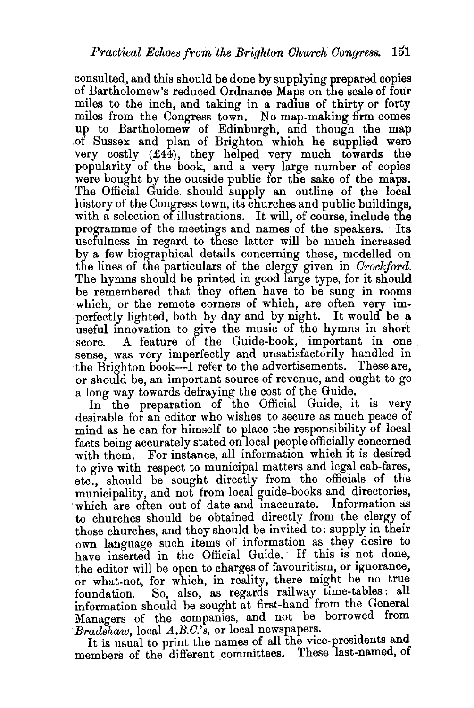consulted, and this should be done by supplying prepared copies of Bartholomew's reduced Ordnance Maps on the scale of four miles to the inch, and taking in a radius of thirty or forty miles from the Congress town. No map-making firm comes up to Bartholomew of Edinburgh, and though the map .of Sussex and plan of Brighton which he supplied were very costly (£44), they helped very much towards the popularity of the book, and a very large number of copies were bought by the outside public for the sake of the maps. The Official Guide. should supply an outline of the local history of the Congress town, its churches and public buildings, with a selection of illustrations. It will, of course, include the programme of the meetings and names of the speakers. Its usefulness in regard to these latter will be much increased by a few biographical details concerning these, modelled on the lines of the particulars of the clergy given in *Crockford.*  The hymns should be printed in good large type, for it should be remembered that they often have to be sung in rooms which, or the remote corners of which, are often very imperfectly lighted, both by day and by night. It would be a useful innovation to give the music of the hymns in short score. A feature of the Guide-book, important in one score. A feature of the Guide-book, important in one sense, was very imperfectly and unsatisfactorily handled in ·the Brighton book-I refer to the advertisements. These are, or should be, an important source of revenue, and ought to go a long way towards defraying the cost of the Guide.

In the preparation of the Official Guide, it is very desirable for an editor who wishes to secure as much peace of mind as he can for himself to place the responsibility of local facts being accurately stated on local people officially concerned with them. For instance, all information which it is desired to give with respect to municipal matters and legal cab-fares, etc., should be sought directly from the officials of the municipality, and not from local guide-books and directories, which are often out of date and inaccurate. Information as to churches should be obtained directly from the clergy of those churches, and they should be invited to: supply in their own language such items of information as they desire to have inserted in the Official Guide. If this is not done, the editor will be open to charges of favouritism, or ignorance, or what-not, for which, in reality, there might be no true foundation. So, also, as regards railway time-tables: all information should be sought at first-hand from the General Managers of the companies, and not be borrowed from Bradshaw, local A.B.C.'s, or local newspapers.

It is usual to print the names of all the vice-presidents and members of the different committees. These last-named, of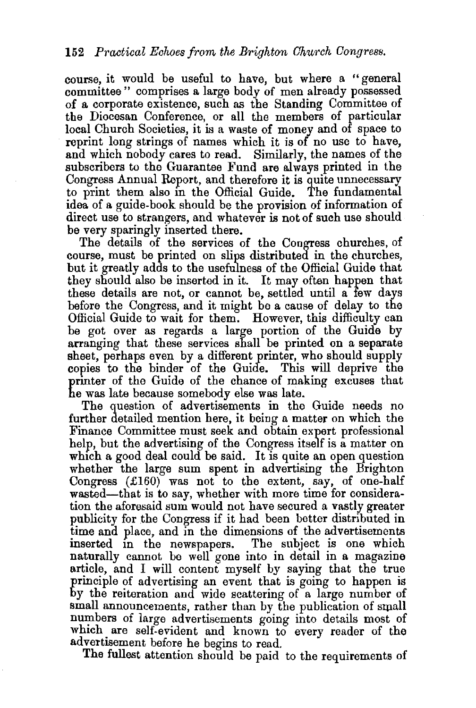course, it would be useful to have, but where a "general committee" comprises a large body of men already possessed of a corporate existence, such as the Standing Committee of the Diocesan Conference, or all the members of particular local Church Societies, it is a waste of money and of space to reprint long strings of names which it is of no use to have, and which nobody cares to read. Similarly, the names of the subscribers to the Guarantee Fund are always printed in the Congress Annual Report, and therefore it is quite unnecessary to print them also m the Official Guide. The fundamental idea of a guide-book should be the provision of information of direct use to strangers, and whatever is not of such use should be very sparingly inserted there.

The details of the services of the Congress churches, of course, must be printed on slips distributed in the churches, but it greatly adds to the usefulness of the Official Guide that they should also be inserted in it. It may often happen that these details are not, or cannot be, settled until a few days before the Congress, and it might be a cause of delay to the Official Guide to wait for them. However, this difficulty can be got over as regards a large portion of the Guide by arranging that these services shall be printed on a separate sheet, perhaps even by a different printer, who should supply copies to the binder of the Guide. This will deprive the printer of the Guide of the chance of making excuses that he was late because somebody else was late.

The question of advertisements in the Guide needs no further detailed mention here, it being a matter on which the Finance Committee must seek and obtain expert professional help, but the advertising of the Congress itself is a matter on which a good deal could be said. It is quite an open question whether the large sum spent in advertising the Brighton Congress  $(f160)$  was not to the extent, say, of one-half wasted-that is to say, whether with more time for consideration the aforesaid sum would not have secured a vastly greater publicity for the Congress if it had been better distributed in time and place, and in the dimensions of the advertisements inserted in the newspapers. The subject is one which naturally cannot be well gone into in detail in a magazine article, and I will content myself by saying that the true principle of advertising an event that is going to happen is by the reiteration and wide scattering of a large number of small announcements, rather than by the publication of small numbers of large advertisements going into details most of which are self-evident and known to every reader of the advertisement before he begins to read.

The fullest attention should be paid to the requirements of